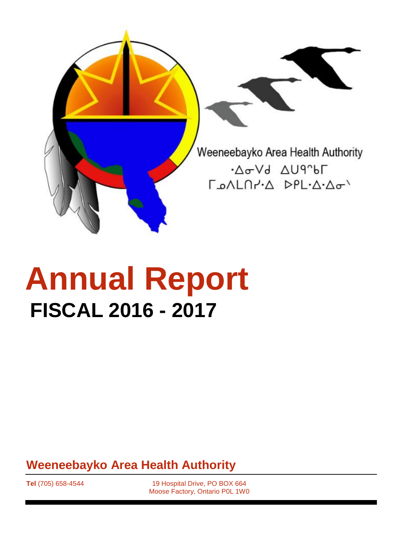

# **Annual Report FISCAL 2016 - 2017**

**Weeneebayko Area Health Authority**

**Tel** (705) 658-4544 19 Hospital Drive, PO BOX 664 Moose Factory, Ontario P0L 1W0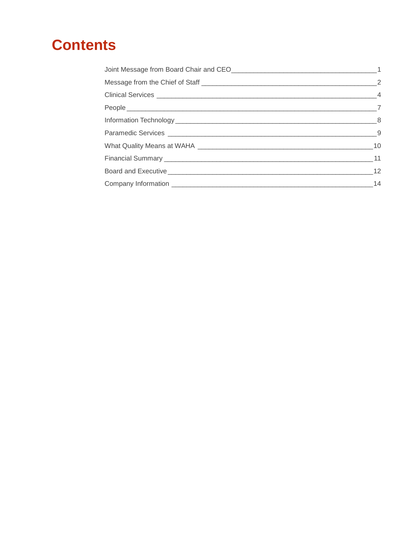# **Contents**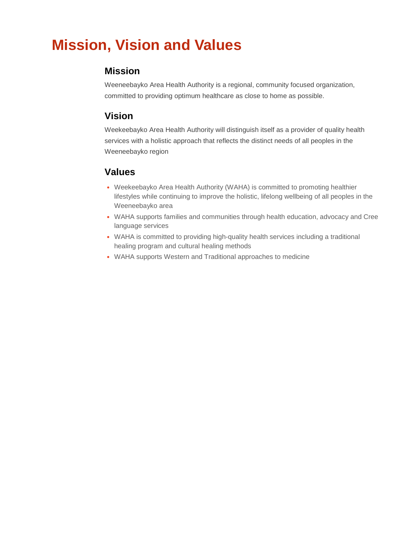# **Mission, Vision and Values**

#### **Mission**

Weeneebayko Area Health Authority is a regional, community focused organization, committed to providing optimum healthcare as close to home as possible.

#### **Vision**

Weekeebayko Area Health Authority will distinguish itself as a provider of quality health services with a holistic approach that reflects the distinct needs of all peoples in the Weeneebayko region

#### **Values**

- Weekeebayko Area Health Authority (WAHA) is committed to promoting healthier lifestyles while continuing to improve the holistic, lifelong wellbeing of all peoples in the Weeneebayko area
- WAHA supports families and communities through health education, advocacy and Cree language services
- WAHA is committed to providing high-quality health services including a traditional healing program and cultural healing methods
- WAHA supports Western and Traditional approaches to medicine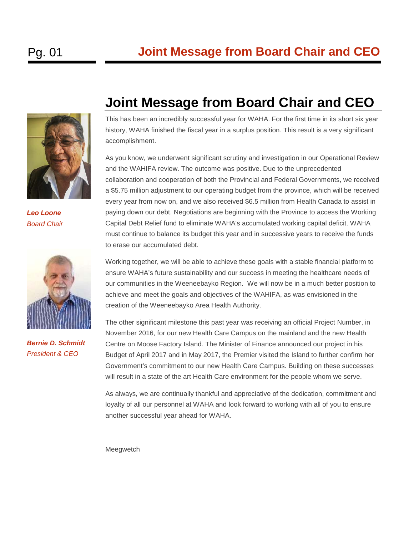

*Leo Loone Board Chair*



*Bernie D. Schmidt President & CEO*

# <span id="page-3-0"></span>**Joint Message from Board Chair and CEO**

This has been an incredibly successful year for WAHA. For the first time in its short six year history, WAHA finished the fiscal year in a surplus position. This result is a very significant accomplishment.

As you know, we underwent significant scrutiny and investigation in our Operational Review and the WAHIFA review. The outcome was positive. Due to the unprecedented collaboration and cooperation of both the Provincial and Federal Governments, we received a \$5.75 million adjustment to our operating budget from the province, which will be received every year from now on, and we also received \$6.5 million from Health Canada to assist in paying down our debt. Negotiations are beginning with the Province to access the Working Capital Debt Relief fund to eliminate WAHA's accumulated working capital deficit. WAHA must continue to balance its budget this year and in successive years to receive the funds to erase our accumulated debt.

Working together, we will be able to achieve these goals with a stable financial platform to ensure WAHA's future sustainability and our success in meeting the healthcare needs of our communities in the Weeneebayko Region. We will now be in a much better position to achieve and meet the goals and objectives of the WAHIFA, as was envisioned in the creation of the Weeneebayko Area Health Authority.

The other significant milestone this past year was receiving an official Project Number, in November 2016, for our new Health Care Campus on the mainland and the new Health Centre on Moose Factory Island. The Minister of Finance announced our project in his Budget of April 2017 and in May 2017, the Premier visited the Island to further confirm her Government's commitment to our new Health Care Campus. Building on these successes will result in a state of the art Health Care environment for the people whom we serve.

As always, we are continually thankful and appreciative of the dedication, commitment and loyalty of all our personnel at WAHA and look forward to working with all of you to ensure another successful year ahead for WAHA.

Meegwetch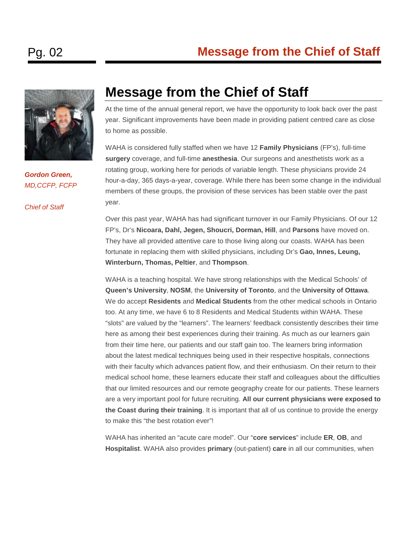

*Gordon Green, MD,CCFP, FCFP*

*Chief of Staff*

#### <span id="page-4-0"></span>**Message from the Chief of Staff**

At the time of the annual general report, we have the opportunity to look back over the past year. Significant improvements have been made in providing patient centred care as close to home as possible.

WAHA is considered fully staffed when we have 12 **Family Physicians** (FP's), full-time **surgery** coverage, and full-time **anesthesia**. Our surgeons and anesthetists work as a rotating group, working here for periods of variable length. These physicians provide 24 hour-a-day, 365 days-a-year, coverage. While there has been some change in the individual members of these groups, the provision of these services has been stable over the past year.

Over this past year, WAHA has had significant turnover in our Family Physicians. Of our 12 FP's, Dr's **Nicoara, Dahl, Jegen, Shoucri, Dorman, Hill**, and **Parsons** have moved on. They have all provided attentive care to those living along our coasts. WAHA has been fortunate in replacing them with skilled physicians, including Dr's **Gao, Innes, Leung, Winterburn, Thomas, Peltier**, and **Thompson**.

WAHA is a teaching hospital. We have strong relationships with the Medical Schools' of **Queen's University**, **NOSM**, the **University of Toronto**, and the **University of Ottawa**. We do accept **Residents** and **Medical Students** from the other medical schools in Ontario too. At any time, we have 6 to 8 Residents and Medical Students within WAHA. These "slots" are valued by the "learners". The learners' feedback consistently describes their time here as among their best experiences during their training. As much as our learners gain from their time here, our patients and our staff gain too. The learners bring information about the latest medical techniques being used in their respective hospitals, connections with their faculty which advances patient flow, and their enthusiasm. On their return to their medical school home, these learners educate their staff and colleagues about the difficulties that our limited resources and our remote geography create for our patients. These learners are a very important pool for future recruiting. **All our current physicians were exposed to the Coast during their training**. It is important that all of us continue to provide the energy to make this "the best rotation ever"!

WAHA has inherited an "acute care model". Our "**core services**" include **ER**, **OB**, and **Hospitalist**. WAHA also provides **primary** (out-patient) **care** in all our communities, when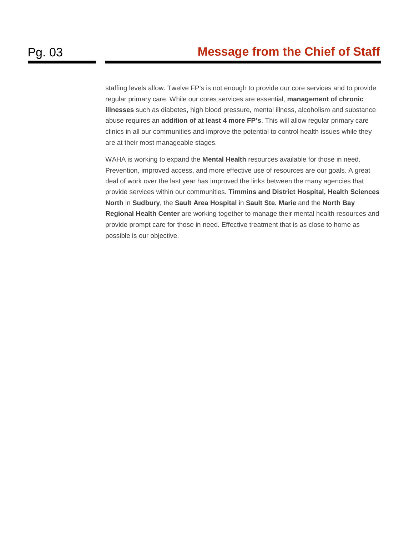staffing levels allow. Twelve FP's is not enough to provide our core services and to provide regular primary care. While our cores services are essential, **management of chronic illnesses** such as diabetes, high blood pressure, mental illness, alcoholism and substance abuse requires an **addition of at least 4 more FP's**. This will allow regular primary care clinics in all our communities and improve the potential to control health issues while they are at their most manageable stages.

WAHA is working to expand the **Mental Health** resources available for those in need. Prevention, improved access, and more effective use of resources are our goals. A great deal of work over the last year has improved the links between the many agencies that provide services within our communities. **Timmins and District Hospital, Health Sciences North** in **Sudbury**, the **Sault Area Hospital** in **Sault Ste. Marie** and the **North Bay Regional Health Center** are working together to manage their mental health resources and provide prompt care for those in need. Effective treatment that is as close to home as possible is our objective.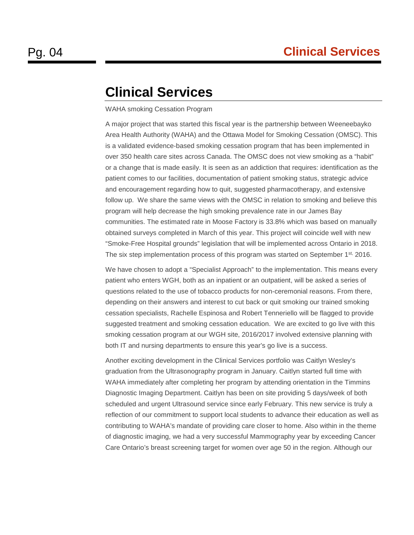# <span id="page-6-0"></span>**Clinical Services**

#### WAHA smoking Cessation Program

A major project that was started this fiscal year is the partnership between Weeneebayko Area Health Authority (WAHA) and the Ottawa Model for Smoking Cessation (OMSC). This is a validated evidence-based smoking cessation program that has been implemented in over 350 health care sites across Canada. The OMSC does not view smoking as a "habit" or a change that is made easily. It is seen as an addiction that requires: identification as the patient comes to our facilities, documentation of patient smoking status, strategic advice and encouragement regarding how to quit, suggested pharmacotherapy, and extensive follow up. We share the same views with the OMSC in relation to smoking and believe this program will help decrease the high smoking prevalence rate in our James Bay communities. The estimated rate in Moose Factory is 33.8% which was based on manually obtained surveys completed in March of this year. This project will coincide well with new "Smoke-Free Hospital grounds" legislation that will be implemented across Ontario in 2018. The six step implementation process of this program was started on September 1<sup>st,</sup> 2016.

We have chosen to adopt a "Specialist Approach" to the implementation. This means every patient who enters WGH, both as an inpatient or an outpatient, will be asked a series of questions related to the use of tobacco products for non-ceremonial reasons. From there, depending on their answers and interest to cut back or quit smoking our trained smoking cessation specialists, Rachelle Espinosa and Robert Tenneriello will be flagged to provide suggested treatment and smoking cessation education. We are excited to go live with this smoking cessation program at our WGH site, 2016/2017 involved extensive planning with both IT and nursing departments to ensure this year's go live is a success.

Another exciting development in the Clinical Services portfolio was Caitlyn Wesley's graduation from the Ultrasonography program in January. Caitlyn started full time with WAHA immediately after completing her program by attending orientation in the Timmins Diagnostic Imaging Department. Caitlyn has been on site providing 5 days/week of both scheduled and urgent Ultrasound service since early February. This new service is truly a reflection of our commitment to support local students to advance their education as well as contributing to WAHA's mandate of providing care closer to home. Also within in the theme of diagnostic imaging, we had a very successful Mammography year by exceeding Cancer Care Ontario's breast screening target for women over age 50 in the region. Although our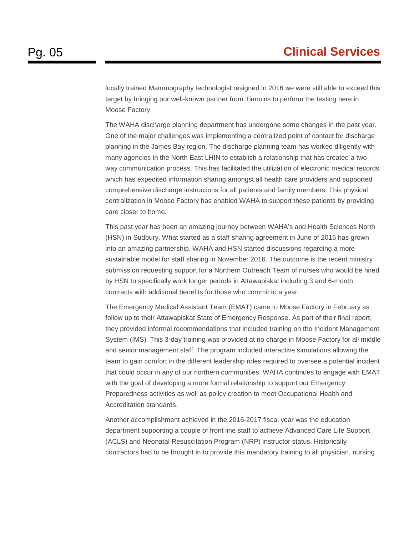locally trained Mammography technologist resigned in 2016 we were still able to exceed this target by bringing our well-known partner from Timmins to perform the testing here in Moose Factory.

The WAHA discharge planning department has undergone some changes in the past year. One of the major challenges was implementing a centralized point of contact for discharge planning in the James Bay region. The discharge planning team has worked diligently with many agencies in the North East LHIN to establish a relationship that has created a twoway communication process. This has facilitated the utilization of electronic medical records which has expedited information sharing amongst all health care providers and supported comprehensive discharge instructions for all patients and family members. This physical centralization in Moose Factory has enabled WAHA to support these patients by providing care closer to home.

This past year has been an amazing journey between WAHA's and Health Sciences North (HSN) in Sudbury. What started as a staff sharing agreement in June of 2016 has grown into an amazing partnership. WAHA and HSN started discussions regarding a more sustainable model for staff sharing in November 2016. The outcome is the recent ministry submission requesting support for a Northern Outreach Team of nurses who would be hired by HSN to specifically work longer periods in Attawapiskat including 3 and 6-month contracts with additional benefits for those who commit to a year.

The Emergency Medical Assistant Team (EMAT) came to Moose Factory in February as follow up to their Attawapiskat State of Emergency Response. As part of their final report, they provided informal recommendations that included training on the Incident Management System (IMS). This 3-day training was provided at no charge in Moose Factory for all middle and senior management staff. The program included interactive simulations allowing the team to gain comfort in the different leadership roles required to oversee a potential incident that could occur in any of our northern communities. WAHA continues to engage with EMAT with the goal of developing a more formal relationship to support our Emergency Preparedness activities as well as policy creation to meet Occupational Health and Accreditation standards.

Another accomplishment achieved in the 2016-2017 fiscal year was the education department supporting a couple of front line staff to achieve Advanced Care Life Support (ACLS) and Neonatal Resuscitation Program (NRP) instructor status. Historically contractors had to be brought in to provide this mandatory training to all physician, nursing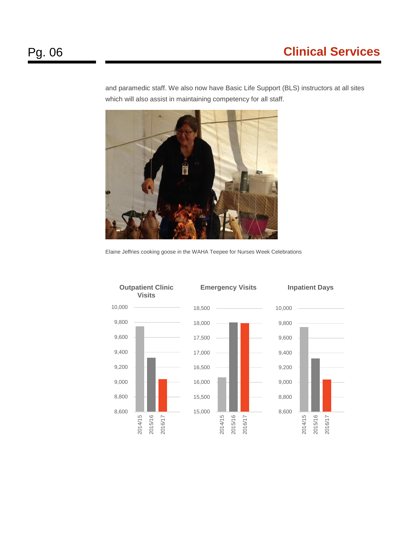and paramedic staff. We also now have Basic Life Support (BLS) instructors at all sites which will also assist in maintaining competency for all staff.

Elaine Jeffries cooking goose in the WAHA Teepee for Nurses Week Celebrations

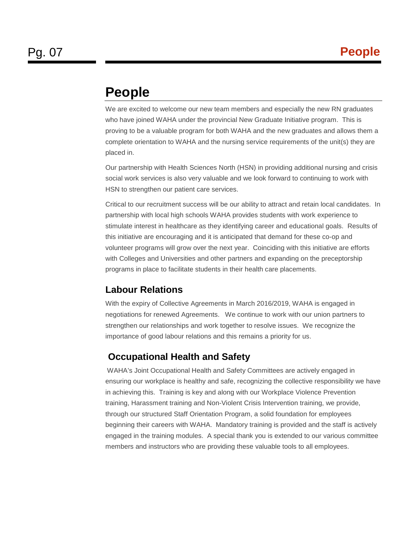# <span id="page-9-0"></span>**People**

We are excited to welcome our new team members and especially the new RN graduates who have joined WAHA under the provincial New Graduate Initiative program. This is proving to be a valuable program for both WAHA and the new graduates and allows them a complete orientation to WAHA and the nursing service requirements of the unit(s) they are placed in.

Our partnership with Health Sciences North (HSN) in providing additional nursing and crisis social work services is also very valuable and we look forward to continuing to work with HSN to strengthen our patient care services.

Critical to our recruitment success will be our ability to attract and retain local candidates. In partnership with local high schools WAHA provides students with work experience to stimulate interest in healthcare as they identifying career and educational goals. Results of this initiative are encouraging and it is anticipated that demand for these co-op and volunteer programs will grow over the next year. Coinciding with this initiative are efforts with Colleges and Universities and other partners and expanding on the preceptorship programs in place to facilitate students in their health care placements.

#### **Labour Relations**

With the expiry of Collective Agreements in March 2016/2019, WAHA is engaged in negotiations for renewed Agreements. We continue to work with our union partners to strengthen our relationships and work together to resolve issues. We recognize the importance of good labour relations and this remains a priority for us.

#### **Occupational Health and Safety**

WAHA's Joint Occupational Health and Safety Committees are actively engaged in ensuring our workplace is healthy and safe, recognizing the collective responsibility we have in achieving this. Training is key and along with our Workplace Violence Prevention training, Harassment training and Non-Violent Crisis Intervention training, we provide, through our structured Staff Orientation Program, a solid foundation for employees beginning their careers with WAHA. Mandatory training is provided and the staff is actively engaged in the training modules. A special thank you is extended to our various committee members and instructors who are providing these valuable tools to all employees.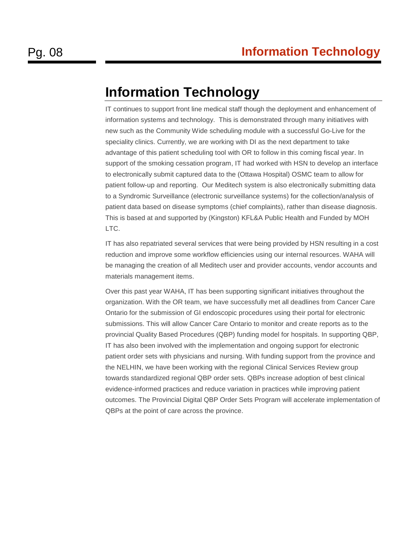# <span id="page-10-0"></span>**Information Technology**

IT continues to support front line medical staff though the deployment and enhancement of information systems and technology. This is demonstrated through many initiatives with new such as the Community Wide scheduling module with a successful Go-Live for the speciality clinics. Currently, we are working with DI as the next department to take advantage of this patient scheduling tool with OR to follow in this coming fiscal year. In support of the smoking cessation program, IT had worked with HSN to develop an interface to electronically submit captured data to the (Ottawa Hospital) OSMC team to allow for patient follow-up and reporting. Our Meditech system is also electronically submitting data to a Syndromic Surveillance (electronic surveillance systems) for the collection/analysis of patient data based on disease symptoms (chief complaints), rather than disease diagnosis. This is based at and supported by (Kingston) KFL&A Public Health and Funded by MOH LTC.

IT has also repatriated several services that were being provided by HSN resulting in a cost reduction and improve some workflow efficiencies using our internal resources. WAHA will be managing the creation of all Meditech user and provider accounts, vendor accounts and materials management items.

Over this past year WAHA, IT has been supporting significant initiatives throughout the organization. With the OR team, we have successfully met all deadlines from Cancer Care Ontario for the submission of GI endoscopic procedures using their portal for electronic submissions. This will allow Cancer Care Ontario to monitor and create reports as to the provincial Quality Based Procedures (QBP) funding model for hospitals. In supporting QBP, IT has also been involved with the implementation and ongoing support for electronic patient order sets with physicians and nursing. With funding support from the province and the NELHIN, we have been working with the regional Clinical Services Review group towards standardized regional QBP order sets. QBPs increase adoption of best clinical evidence-informed practices and reduce variation in practices while improving patient outcomes. The Provincial Digital QBP Order Sets Program will accelerate implementation of QBPs at the point of care across the province.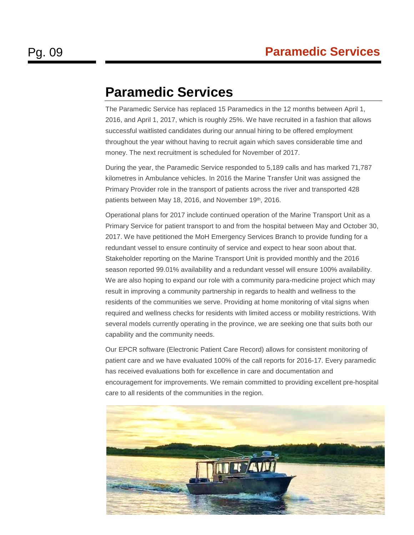# <span id="page-11-0"></span>**Paramedic Services**

The Paramedic Service has replaced 15 Paramedics in the 12 months between April 1, 2016, and April 1, 2017, which is roughly 25%. We have recruited in a fashion that allows successful waitlisted candidates during our annual hiring to be offered employment throughout the year without having to recruit again which saves considerable time and money. The next recruitment is scheduled for November of 2017.

During the year, the Paramedic Service responded to 5,189 calls and has marked 71,787 kilometres in Ambulance vehicles. In 2016 the Marine Transfer Unit was assigned the Primary Provider role in the transport of patients across the river and transported 428 patients between May 18, 2016, and November 19th, 2016.

Operational plans for 2017 include continued operation of the Marine Transport Unit as a Primary Service for patient transport to and from the hospital between May and October 30, 2017. We have petitioned the MoH Emergency Services Branch to provide funding for a redundant vessel to ensure continuity of service and expect to hear soon about that. Stakeholder reporting on the Marine Transport Unit is provided monthly and the 2016 season reported 99.01% availability and a redundant vessel will ensure 100% availability. We are also hoping to expand our role with a community para-medicine project which may result in improving a community partnership in regards to health and wellness to the residents of the communities we serve. Providing at home monitoring of vital signs when required and wellness checks for residents with limited access or mobility restrictions. With several models currently operating in the province, we are seeking one that suits both our capability and the community needs.

Our EPCR software (Electronic Patient Care Record) allows for consistent monitoring of patient care and we have evaluated 100% of the call reports for 2016-17. Every paramedic has received evaluations both for excellence in care and documentation and encouragement for improvements. We remain committed to providing excellent pre-hospital care to all residents of the communities in the region.

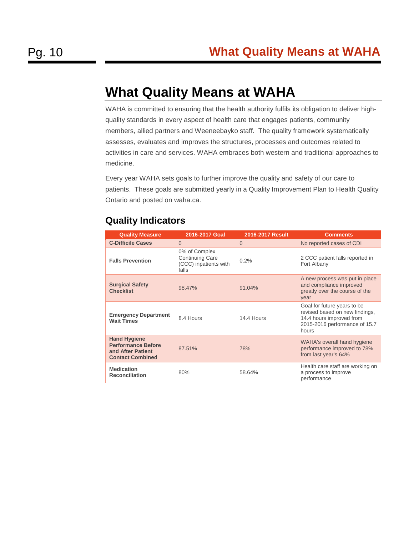# <span id="page-12-0"></span>**What Quality Means at WAHA**

WAHA is committed to ensuring that the health authority fulfils its obligation to deliver highquality standards in every aspect of health care that engages patients, community members, allied partners and Weeneebayko staff. The quality framework systematically assesses, evaluates and improves the structures, processes and outcomes related to activities in care and services. WAHA embraces both western and traditional approaches to medicine.

Every year WAHA sets goals to further improve the quality and safety of our care to patients. These goals are submitted yearly in a Quality Improvement Plan to Health Quality Ontario and posted on waha.ca.

| <b>Quality Measure</b>                                                                           | 2016-2017 Goal                                                            | <b>2016-2017 Result</b> | <b>Comments</b>                                                                                                                     |
|--------------------------------------------------------------------------------------------------|---------------------------------------------------------------------------|-------------------------|-------------------------------------------------------------------------------------------------------------------------------------|
| <b>C-Difficile Cases</b>                                                                         | $\Omega$                                                                  | $\Omega$                | No reported cases of CDI                                                                                                            |
| <b>Falls Prevention</b>                                                                          | 0% of Complex<br><b>Continuing Care</b><br>(CCC) inpatients with<br>falls | 0.2%                    | 2 CCC patient falls reported in<br>Fort Albany                                                                                      |
| <b>Surgical Safety</b><br><b>Checklist</b>                                                       | 98.47%                                                                    | 91.04%                  | A new process was put in place<br>and compliance improved<br>greatly over the course of the<br>year                                 |
| <b>Emergency Department</b><br><b>Wait Times</b>                                                 | 8.4 Hours                                                                 | 14.4 Hours              | Goal for future years to be<br>revised based on new findings,<br>14.4 hours improved from<br>2015-2016 performance of 15.7<br>hours |
| <b>Hand Hygiene</b><br><b>Performance Before</b><br>and After Patient<br><b>Contact Combined</b> | 87.51%                                                                    | 78%                     | WAHA's overall hand hygiene<br>performance improved to 78%<br>from last year's 64%                                                  |
| <b>Medication</b><br><b>Reconciliation</b>                                                       | 80%                                                                       | 58.64%                  | Health care staff are working on<br>a process to improve<br>performance                                                             |

#### **Quality Indicators**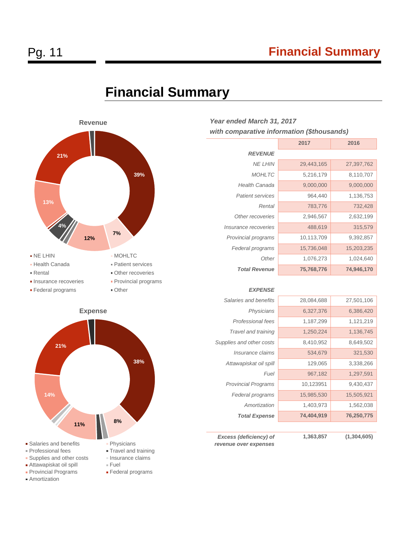### Pg. 11 **Financial Summary**

<span id="page-13-0"></span>





#### *Year ended March 31, 2017 with comparative information (\$thousands)*

|                             | 2017       | 2016       |
|-----------------------------|------------|------------|
| <b>REVENUE</b>              |            |            |
| NF I HIN                    | 29,443,165 | 27,397,762 |
| <b>MOHLTC</b>               | 5,216,179  | 8,110,707  |
| <b>Health Canada</b>        | 9,000,000  | 9,000,000  |
| <b>Patient services</b>     | 964,440    | 1,136,753  |
| Rental                      | 783,776    | 732,428    |
| Other recoveries            | 2,946,567  | 2,632,199  |
| <i>Insurance recoveries</i> | 488,619    | 315,579    |
| Provincial programs         | 10,113,709 | 9,392,857  |
| Federal programs            | 15,736,048 | 15,203,235 |
| Other                       | 1,076,273  | 1,024,640  |
| <b>Total Revenue</b>        | 75,768,776 | 74,946,170 |
|                             |            |            |

#### *EXPENSE*

| Salaries and benefits      | 28,084,688 | 27,501,106 |
|----------------------------|------------|------------|
| Physicians                 | 6,327,376  | 6,386,420  |
| Professional fees          | 1,187,299  | 1,121,219  |
| Travel and training        | 1,250,224  | 1,136,745  |
| Supplies and other costs   | 8,410,952  | 8,649,502  |
| Insurance claims           | 534,679    | 321,530    |
| Attawapiskat oil spill     | 129,065    | 3,338,266  |
| Fuel                       | 967,182    | 1,297,591  |
| <b>Provincial Programs</b> | 10,123951  | 9,430,437  |
| Federal programs           | 15,985,530 | 15,505,921 |
| Amortization               | 1,403,973  | 1,562,038  |
| <b>Total Expense</b>       | 74,404,919 | 76,250,775 |
|                            |            |            |

*Excess (deficiency) of revenue over expenses*

**1,363,857 (1,304,605)**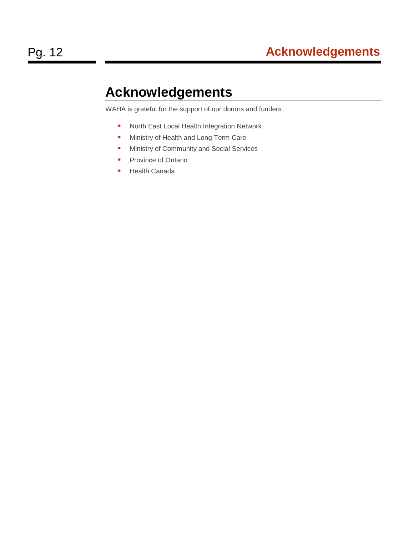# <span id="page-14-0"></span>**Acknowledgements**

WAHA is grateful for the support of our donors and funders.

- **North East Local Health Integration Network**
- **Ministry of Health and Long Term Care**
- **Ministry of Community and Social Services**
- **Province of Ontario**
- **Health Canada**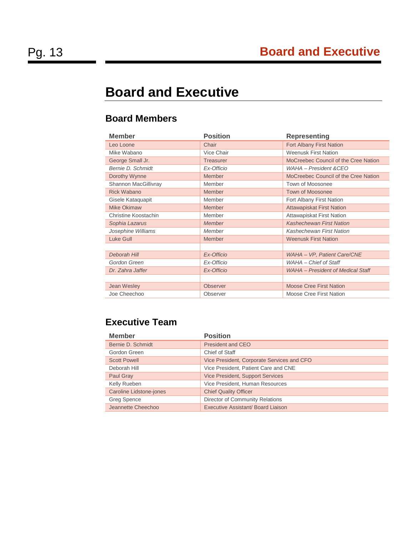# **Board and Executive**

#### **Board Members**

| <b>Member</b>        | <b>Position</b>  | <b>Representing</b>                  |
|----------------------|------------------|--------------------------------------|
| Leo Loone            | Chair            | Fort Albany First Nation             |
| Mike Wabano          | Vice Chair       | <b>Weenusk First Nation</b>          |
| George Small Jr.     | <b>Treasurer</b> | MoCreebec Council of the Cree Nation |
| Bernie D. Schmidt    | Ex-Officio       | WAHA - President & CEO               |
| Dorothy Wynne        | Member           | MoCreebec Council of the Cree Nation |
| Shannon MacGillivray | Member           | Town of Moosonee                     |
| <b>Rick Wabano</b>   | Member           | <b>Town of Moosonee</b>              |
| Gisele Kataquapit    | Member           | Fort Albany First Nation             |
| <b>Mike Okimaw</b>   | Member           | <b>Attawapiskat First Nation</b>     |
| Christine Koostachin | Member           | Attawapiskat First Nation            |
| Sophia Lazarus       | <b>Member</b>    | <b>Kashechewan First Nation</b>      |
| Josephine Williams   | Member           | <b>Kashechewan First Nation</b>      |
| Luke Gull            | Member           | <b>Weenusk First Nation</b>          |
|                      |                  |                                      |
| Deborah Hill         | Ex-Officio       | WAHA - VP, Patient Care/CNE          |
| Gordon Green         | Ex-Officio       | WAHA - Chief of Staff                |
| Dr. Zahra Jaffer     | Ex-Officio       | WAHA - President of Medical Staff    |
|                      |                  |                                      |
| Jean Wesley          | <b>Observer</b>  | <b>Moose Cree First Nation</b>       |
| Joe Cheechoo         | Observer         | Moose Cree First Nation              |
|                      |                  |                                      |

#### **Executive Team**

| <b>Member</b>                  | <b>Position</b>                            |
|--------------------------------|--------------------------------------------|
| Bernie D. Schmidt              | President and CEO                          |
| Gordon Green                   | Chief of Staff                             |
| <b>Scott Powell</b>            | Vice President, Corporate Services and CFO |
| Deborah Hill                   | Vice President, Patient Care and CNE       |
| Paul Gray                      | <b>Vice President, Support Services</b>    |
| Kelly Rueben                   | Vice President, Human Resources            |
| <b>Caroline Lidstone-jones</b> | <b>Chief Quality Officer</b>               |
| Greg Spence                    | Director of Community Relations            |
| Jeannette Cheechoo             | Executive Assistant/ Board Liaison         |